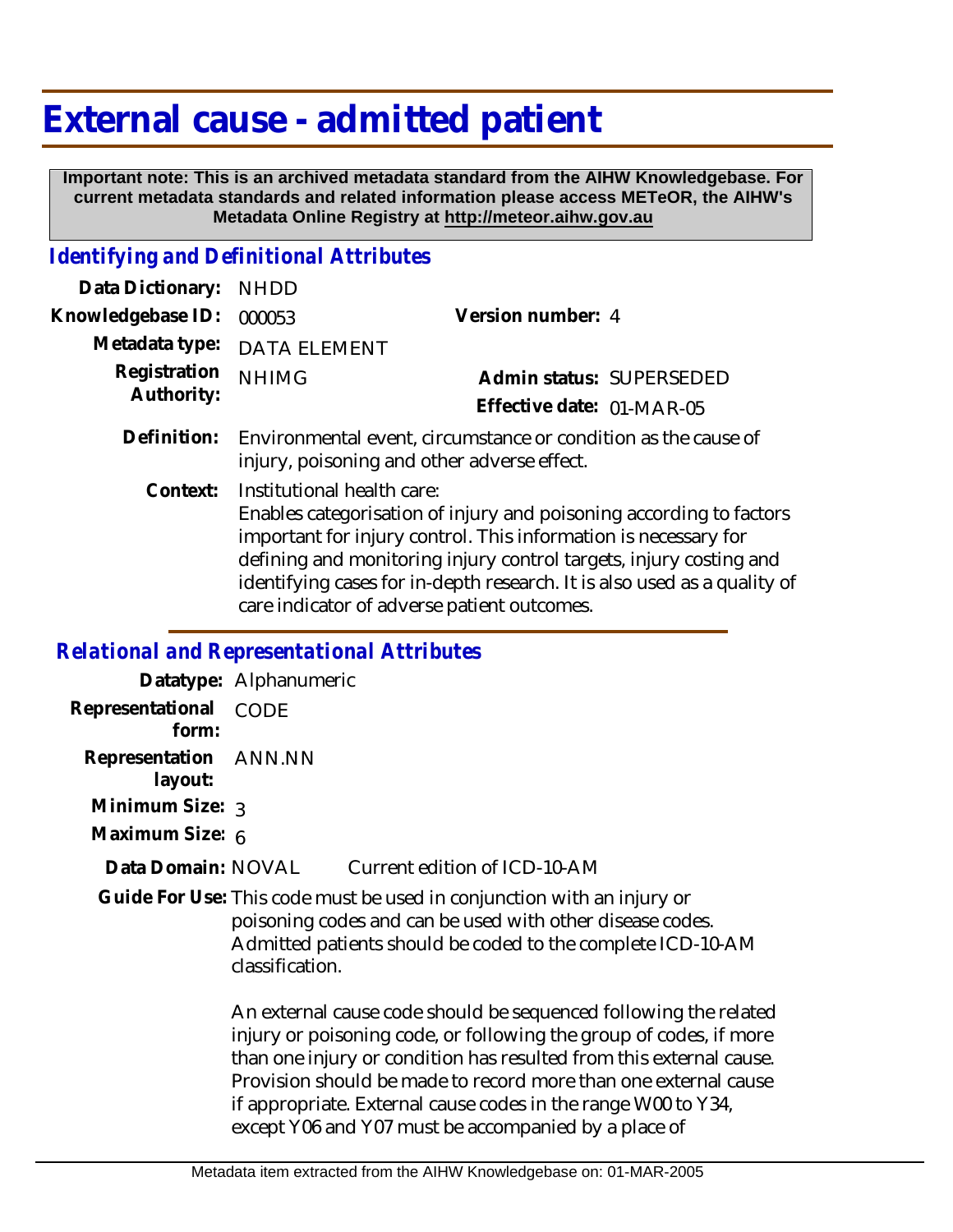## **External cause - admitted patient**

 **Important note: This is an archived metadata standard from the AIHW Knowledgebase. For current metadata standards and related information please access METeOR, the AIHW's Metadata Online Registry at http://meteor.aihw.gov.au**

## *Identifying and Definitional Attributes*

| Data Dictionary: NHDD      |                                                                                                                           |                              |                          |
|----------------------------|---------------------------------------------------------------------------------------------------------------------------|------------------------------|--------------------------|
| Knowledgebase ID:          | 000053                                                                                                                    | Version number: 4            |                          |
|                            | Metadata type: DATA ELEMENT                                                                                               |                              |                          |
| Registration<br>Authority: | <b>NHIMG</b>                                                                                                              |                              | Admin status: SUPERSEDED |
|                            |                                                                                                                           | Effective date: 01-MAR-05    |                          |
|                            | Definition: Environmental event, circumstance or condition as the cause of<br>injury, poisoning and other adverse effect. |                              |                          |
|                            | Context: Institutional health care:                                                                                       | — II I II CII I I I I II I A |                          |

Enables categorisation of injury and poisoning according to factors important for injury control. This information is necessary for defining and monitoring injury control targets, injury costing and identifying cases for in-depth research. It is also used as a quality of care indicator of adverse patient outcomes.

## *Relational and Representational Attributes*

|                                  | Datatype: Alphanumeric                                                                                                                                                                                                                                                                                                                                                                                    |  |
|----------------------------------|-----------------------------------------------------------------------------------------------------------------------------------------------------------------------------------------------------------------------------------------------------------------------------------------------------------------------------------------------------------------------------------------------------------|--|
| Representational<br>form:        | CODE                                                                                                                                                                                                                                                                                                                                                                                                      |  |
| Representation ANN.NN<br>layout: |                                                                                                                                                                                                                                                                                                                                                                                                           |  |
| Minimum Size: 3                  |                                                                                                                                                                                                                                                                                                                                                                                                           |  |
| Maximum Size: 6                  |                                                                                                                                                                                                                                                                                                                                                                                                           |  |
| Data Domain: NOVAL               | Current edition of ICD-10-AM                                                                                                                                                                                                                                                                                                                                                                              |  |
|                                  | Guide For Use: This code must be used in conjunction with an injury or<br>poisoning codes and can be used with other disease codes.<br>Admitted patients should be coded to the complete ICD-10-AM<br>classification.                                                                                                                                                                                     |  |
|                                  | An external cause code should be sequenced following the related<br>injury or poisoning code, or following the group of codes, if more<br>than one injury or condition has resulted from this external cause.<br>Provision should be made to record more than one external cause<br>if appropriate. External cause codes in the range W00 to Y34,<br>except Y06 and Y07 must be accompanied by a place of |  |